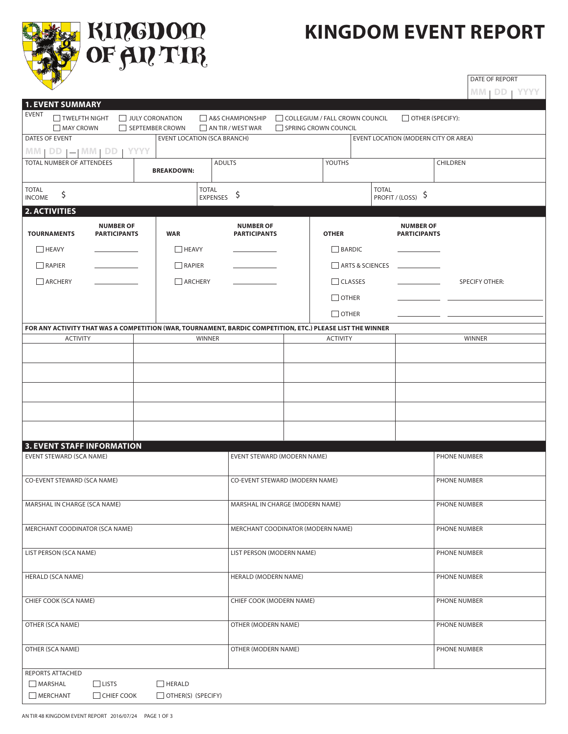

**KIRGDOM**<br>OF <del>A</del>R TIR

## **Kingdom event report**

DATE OF REPORT

|                                                                                                            |                                         |                                    |                                         |                                |                 |                                      |                                         | $MM$   $DD$   $YYYY$  |  |  |
|------------------------------------------------------------------------------------------------------------|-----------------------------------------|------------------------------------|-----------------------------------------|--------------------------------|-----------------|--------------------------------------|-----------------------------------------|-----------------------|--|--|
| <b>1. EVENT SUMMARY</b><br><b>EVENT</b><br>TWELFTH NIGHT                                                   | JULY CORONATION                         |                                    | A&S CHAMPIONSHIP                        | COLLEGIUM / FALL CROWN COUNCIL |                 |                                      | $\Box$ OTHER (SPECIFY):                 |                       |  |  |
| MAY CROWN                                                                                                  | SEPTEMBER CROWN                         |                                    | AN TIR / WEST WAR                       | SPRING CROWN COUNCIL           |                 |                                      |                                         |                       |  |  |
| DATES OF EVENT                                                                                             |                                         | <b>EVENT LOCATION (SCA BRANCH)</b> |                                         |                                |                 | EVENT LOCATION (MODERN CITY OR AREA) |                                         |                       |  |  |
| $MM   DD   =   MM   DD$<br>TOTAL NUMBER OF ATTENDEES                                                       | <b>YYYY</b>                             |                                    | <b>ADULTS</b>                           |                                | YOUTHS          |                                      |                                         | CHILDREN              |  |  |
|                                                                                                            |                                         | <b>BREAKDOWN:</b>                  |                                         |                                |                 |                                      |                                         |                       |  |  |
| <b>TOTAL</b><br>\$<br><b>INCOME</b>                                                                        |                                         | <b>TOTAL</b><br><b>EXPENSES</b>    | \$                                      |                                |                 | <b>TOTAL</b>                         | PROFIT / (LOSS) \$                      |                       |  |  |
| <b>2. ACTIVITIES</b>                                                                                       |                                         |                                    |                                         |                                |                 |                                      |                                         |                       |  |  |
| <b>TOURNAMENTS</b>                                                                                         | <b>NUMBER OF</b><br><b>PARTICIPANTS</b> | <b>WAR</b>                         | <b>NUMBER OF</b><br><b>PARTICIPANTS</b> |                                | <b>OTHER</b>    |                                      | <b>NUMBER OF</b><br><b>PARTICIPANTS</b> |                       |  |  |
| HEAVY                                                                                                      |                                         | $\Box$ HEAVY                       |                                         |                                | $\Box$ BARDIC   |                                      |                                         |                       |  |  |
| RAPIER                                                                                                     |                                         | $\Box$ RAPIER                      |                                         |                                |                 | ARTS & SCIENCES                      |                                         |                       |  |  |
| ARCHERY                                                                                                    | ARCHERY                                 |                                    |                                         | $\Box$ CLASSES                 |                 |                                      |                                         | <b>SPECIFY OTHER:</b> |  |  |
|                                                                                                            |                                         |                                    | $\Box$ OTHER                            |                                |                 |                                      |                                         |                       |  |  |
|                                                                                                            |                                         |                                    |                                         |                                | $\Box$ OTHER    |                                      |                                         |                       |  |  |
| FOR ANY ACTIVITY THAT WAS A COMPETITION (WAR, TOURNAMENT, BARDIC COMPETITION, ETC.) PLEASE LIST THE WINNER |                                         |                                    |                                         |                                |                 |                                      |                                         |                       |  |  |
| <b>ACTIVITY</b>                                                                                            |                                         | <b>WINNER</b>                      |                                         |                                | <b>ACTIVITY</b> |                                      |                                         | <b>WINNER</b>         |  |  |
|                                                                                                            |                                         |                                    |                                         |                                |                 |                                      |                                         |                       |  |  |
|                                                                                                            |                                         |                                    |                                         |                                |                 |                                      |                                         |                       |  |  |
|                                                                                                            |                                         |                                    |                                         |                                |                 |                                      |                                         |                       |  |  |
|                                                                                                            |                                         |                                    |                                         |                                |                 |                                      |                                         |                       |  |  |
|                                                                                                            |                                         |                                    |                                         |                                |                 |                                      |                                         |                       |  |  |
|                                                                                                            |                                         |                                    |                                         |                                |                 |                                      |                                         |                       |  |  |
| <b>3. EVENT STAFF INFORMATION</b><br><b>EVENT STEWARD (SCA NAME)</b>                                       |                                         |                                    | EVENT STEWARD (MODERN NAME)             |                                |                 |                                      |                                         | PHONE NUMBER          |  |  |
|                                                                                                            |                                         |                                    |                                         |                                |                 |                                      |                                         |                       |  |  |
| CO-EVENT STEWARD (SCA NAME)                                                                                |                                         |                                    | CO-EVENT STEWARD (MODERN NAME)          |                                |                 |                                      |                                         | PHONE NUMBER          |  |  |
| MARSHAL IN CHARGE (SCA NAME)                                                                               |                                         |                                    | MARSHAL IN CHARGE (MODERN NAME)         |                                |                 |                                      |                                         | PHONE NUMBER          |  |  |
|                                                                                                            |                                         |                                    |                                         |                                |                 |                                      |                                         |                       |  |  |
| MERCHANT COODINATOR (SCA NAME)                                                                             |                                         |                                    | MERCHANT COODINATOR (MODERN NAME)       |                                |                 |                                      |                                         | PHONE NUMBER          |  |  |
| LIST PERSON (SCA NAME)                                                                                     |                                         |                                    | LIST PERSON (MODERN NAME)               |                                |                 |                                      |                                         | PHONE NUMBER          |  |  |
|                                                                                                            |                                         |                                    |                                         |                                |                 |                                      |                                         |                       |  |  |
| <b>HERALD (SCA NAME)</b>                                                                                   |                                         |                                    | HERALD (MODERN NAME)                    |                                |                 |                                      |                                         | PHONE NUMBER          |  |  |
|                                                                                                            |                                         |                                    | CHIEF COOK (MODERN NAME)                |                                |                 |                                      |                                         |                       |  |  |
| CHIEF COOK (SCA NAME)                                                                                      |                                         |                                    |                                         |                                |                 |                                      |                                         | PHONE NUMBER          |  |  |
| OTHER (SCA NAME)                                                                                           |                                         |                                    | OTHER (MODERN NAME)                     |                                |                 |                                      |                                         | PHONE NUMBER          |  |  |
|                                                                                                            |                                         |                                    |                                         |                                |                 |                                      |                                         |                       |  |  |
| OTHER (SCA NAME)                                                                                           |                                         |                                    | OTHER (MODERN NAME)                     |                                |                 |                                      |                                         | PHONE NUMBER          |  |  |
| REPORTS ATTACHED                                                                                           |                                         |                                    |                                         |                                |                 |                                      |                                         |                       |  |  |
| $\Box$ LISTS<br>MARSHAL                                                                                    |                                         | $\Box$ HERALD                      |                                         |                                |                 |                                      |                                         |                       |  |  |
| $\Box$ CHIEF COOK<br>MERCHANT                                                                              |                                         | $\Box$ OTHER(S) (SPECIFY)          |                                         |                                |                 |                                      |                                         |                       |  |  |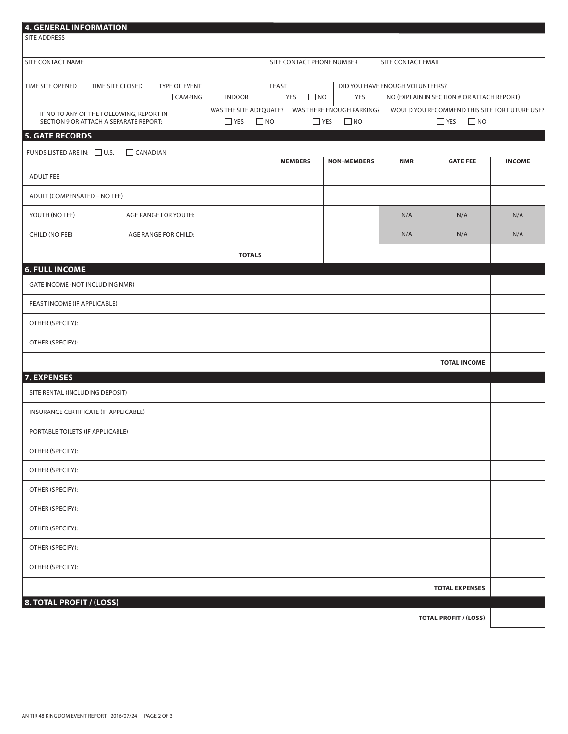| 4. GENERAL INFORMATION<br><b>SITE ADDRESS</b> |                                                                                    |                                                  |                                                |            |                                  |                                        |                                                                                      |                              |               |  |
|-----------------------------------------------|------------------------------------------------------------------------------------|--------------------------------------------------|------------------------------------------------|------------|----------------------------------|----------------------------------------|--------------------------------------------------------------------------------------|------------------------------|---------------|--|
| SITE CONTACT NAME                             |                                                                                    |                                                  |                                                |            | SITE CONTACT PHONE NUMBER        |                                        | SITE CONTACT EMAIL                                                                   |                              |               |  |
| TIME SITE OPENED                              | TIME SITE CLOSED                                                                   | <b>TYPE OF EVENT</b><br>CAMPING<br>$\Box$ INDOOR |                                                |            | FEAST<br>$\Box$ YES<br>$\Box$ NO | $\Box$ YES                             | DID YOU HAVE ENOUGH VOLUNTEERS?<br>$\Box$ NO (EXPLAIN IN SECTION # OR ATTACH REPORT) |                              |               |  |
|                                               | IF NO TO ANY OF THE FOLLOWING, REPORT IN<br>SECTION 9 OR ATTACH A SEPARATE REPORT: |                                                  | WAS THE SITE ADEQUATE?<br>$\Box$ YES $\Box$ NO | $\Box$ YES |                                  | WAS THERE ENOUGH PARKING?<br>$\Box$ NO | WOULD YOU RECOMMEND THIS SITE FOR FUTURE USE?<br>$\Box$ NO<br>$\Box$ YES             |                              |               |  |
| <b>5. GATE RECORDS</b>                        |                                                                                    |                                                  |                                                |            |                                  |                                        |                                                                                      |                              |               |  |
| FUNDS LISTED ARE IN: U.S.                     | $\Box$ CANADIAN                                                                    |                                                  |                                                |            | <b>MEMBERS</b>                   | <b>NON-MEMBERS</b>                     | <b>NMR</b>                                                                           | <b>GATE FEE</b>              | <b>INCOME</b> |  |
| <b>ADULT FEE</b>                              |                                                                                    |                                                  |                                                |            |                                  |                                        |                                                                                      |                              |               |  |
| ADULT (COMPENSATED - NO FEE)                  |                                                                                    |                                                  |                                                |            |                                  |                                        |                                                                                      |                              |               |  |
| YOUTH (NO FEE)<br>AGE RANGE FOR YOUTH:        |                                                                                    |                                                  |                                                |            |                                  | N/A                                    | N/A                                                                                  | N/A                          |               |  |
| CHILD (NO FEE)                                | AGE RANGE FOR CHILD:                                                               |                                                  |                                                |            |                                  |                                        | N/A                                                                                  | N/A                          | N/A           |  |
|                                               | <b>TOTALS</b>                                                                      |                                                  |                                                |            |                                  |                                        |                                                                                      |                              |               |  |
| <b>6. FULL INCOME</b>                         |                                                                                    |                                                  |                                                |            |                                  |                                        |                                                                                      |                              |               |  |
| GATE INCOME (NOT INCLUDING NMR)               |                                                                                    |                                                  |                                                |            |                                  |                                        |                                                                                      |                              |               |  |
| FEAST INCOME (IF APPLICABLE)                  |                                                                                    |                                                  |                                                |            |                                  |                                        |                                                                                      |                              |               |  |
| OTHER (SPECIFY):                              |                                                                                    |                                                  |                                                |            |                                  |                                        |                                                                                      |                              |               |  |
| OTHER (SPECIFY):                              |                                                                                    |                                                  |                                                |            |                                  |                                        |                                                                                      |                              |               |  |
|                                               |                                                                                    |                                                  |                                                |            |                                  |                                        |                                                                                      | <b>TOTAL INCOME</b>          |               |  |
| 7. EXPENSES                                   |                                                                                    |                                                  |                                                |            |                                  |                                        |                                                                                      |                              |               |  |
| SITE RENTAL (INCLUDING DEPOSIT)               |                                                                                    |                                                  |                                                |            |                                  |                                        |                                                                                      |                              |               |  |
| INSURANCE CERTIFICATE (IF APPLICABLE)         |                                                                                    |                                                  |                                                |            |                                  |                                        |                                                                                      |                              |               |  |
| PORTABLE TOILETS (IF APPLICABLE)              |                                                                                    |                                                  |                                                |            |                                  |                                        |                                                                                      |                              |               |  |
| OTHER (SPECIFY):                              |                                                                                    |                                                  |                                                |            |                                  |                                        |                                                                                      |                              |               |  |
| OTHER (SPECIFY):                              |                                                                                    |                                                  |                                                |            |                                  |                                        |                                                                                      |                              |               |  |
| OTHER (SPECIFY):                              |                                                                                    |                                                  |                                                |            |                                  |                                        |                                                                                      |                              |               |  |
| OTHER (SPECIFY):                              |                                                                                    |                                                  |                                                |            |                                  |                                        |                                                                                      |                              |               |  |
| OTHER (SPECIFY):                              |                                                                                    |                                                  |                                                |            |                                  |                                        |                                                                                      |                              |               |  |
| OTHER (SPECIFY):                              |                                                                                    |                                                  |                                                |            |                                  |                                        |                                                                                      |                              |               |  |
| OTHER (SPECIFY):                              |                                                                                    |                                                  |                                                |            |                                  |                                        |                                                                                      |                              |               |  |
| <b>8. TOTAL PROFIT / (LOSS)</b>               |                                                                                    |                                                  |                                                |            |                                  |                                        |                                                                                      | <b>TOTAL EXPENSES</b>        |               |  |
|                                               |                                                                                    |                                                  |                                                |            |                                  |                                        |                                                                                      | <b>TOTAL PROFIT / (LOSS)</b> |               |  |